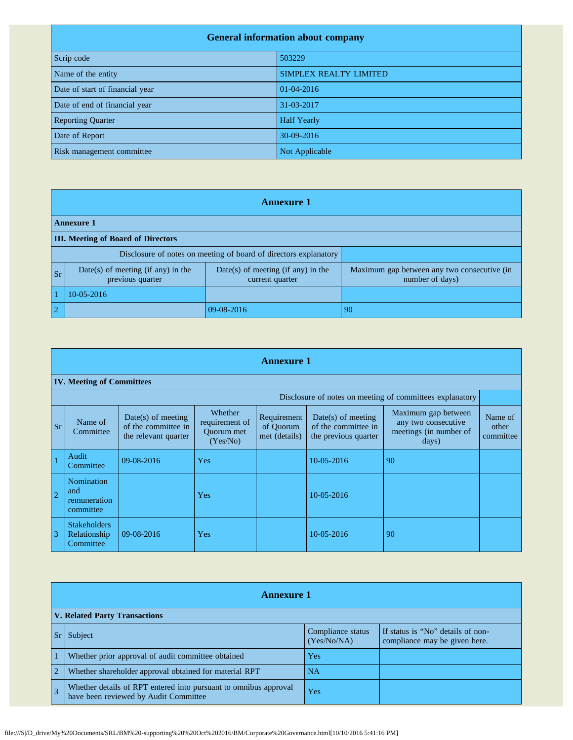| <b>General information about company</b> |                        |  |  |
|------------------------------------------|------------------------|--|--|
| Scrip code                               | 503229                 |  |  |
| Name of the entity                       | SIMPLEX REALTY LIMITED |  |  |
| Date of start of financial year          | 01-04-2016             |  |  |
| Date of end of financial year            | 31-03-2017             |  |  |
| <b>Reporting Quarter</b>                 | <b>Half Yearly</b>     |  |  |
| Date of Report                           | 30-09-2016             |  |  |
| Risk management committee                | Not Applicable         |  |  |

|                                                                  | <b>Annexure 1</b>                                        |                                                         |                                                                |  |  |
|------------------------------------------------------------------|----------------------------------------------------------|---------------------------------------------------------|----------------------------------------------------------------|--|--|
|                                                                  | <b>Annexure 1</b>                                        |                                                         |                                                                |  |  |
|                                                                  | <b>III.</b> Meeting of Board of Directors                |                                                         |                                                                |  |  |
| Disclosure of notes on meeting of board of directors explanatory |                                                          |                                                         |                                                                |  |  |
| <b>Sr</b>                                                        | $Date(s)$ of meeting (if any) in the<br>previous quarter | $Date(s)$ of meeting (if any) in the<br>current quarter | Maximum gap between any two consecutive (in<br>number of days) |  |  |
|                                                                  | $10-05-2016$                                             |                                                         |                                                                |  |  |
| $\overline{2}$                                                   |                                                          | 09-08-2016                                              | 90                                                             |  |  |

|                | <b>Annexure 1</b>                                |                                                                     |                                                     |                                           |                                                                     |                                                                               |                               |
|----------------|--------------------------------------------------|---------------------------------------------------------------------|-----------------------------------------------------|-------------------------------------------|---------------------------------------------------------------------|-------------------------------------------------------------------------------|-------------------------------|
|                | <b>IV. Meeting of Committees</b>                 |                                                                     |                                                     |                                           |                                                                     |                                                                               |                               |
|                |                                                  |                                                                     |                                                     |                                           |                                                                     | Disclosure of notes on meeting of committees explanatory                      |                               |
| <b>Sr</b>      | Name of<br>Committee                             | $Date(s)$ of meeting<br>of the committee in<br>the relevant quarter | Whether<br>requirement of<br>Quorum met<br>(Yes/No) | Requirement<br>of Ouorum<br>met (details) | $Date(s)$ of meeting<br>of the committee in<br>the previous quarter | Maximum gap between<br>any two consecutive<br>meetings (in number of<br>days) | Name of<br>other<br>committee |
|                | Audit<br>Committee                               | 09-08-2016                                                          | Yes                                                 |                                           | 10-05-2016                                                          | 90                                                                            |                               |
| $\overline{2}$ | Nomination<br>and<br>remuneration<br>committee   |                                                                     | Yes                                                 |                                           | 10-05-2016                                                          |                                                                               |                               |
| $\overline{3}$ | <b>Stakeholders</b><br>Relationship<br>Committee | 09-08-2016                                                          | Yes                                                 |                                           | 10-05-2016                                                          | 90                                                                            |                               |

|                | <b>Annexure 1</b>                                                                                         |                                  |                                                                    |  |
|----------------|-----------------------------------------------------------------------------------------------------------|----------------------------------|--------------------------------------------------------------------|--|
|                | <b>V. Related Party Transactions</b>                                                                      |                                  |                                                                    |  |
|                | Subject                                                                                                   | Compliance status<br>(Yes/No/NA) | If status is "No" details of non-<br>compliance may be given here. |  |
|                | Whether prior approval of audit committee obtained                                                        | Yes                              |                                                                    |  |
| $\overline{2}$ | Whether shareholder approval obtained for material RPT                                                    | NA.                              |                                                                    |  |
|                | Whether details of RPT entered into pursuant to omnibus approval<br>have been reviewed by Audit Committee | Yes                              |                                                                    |  |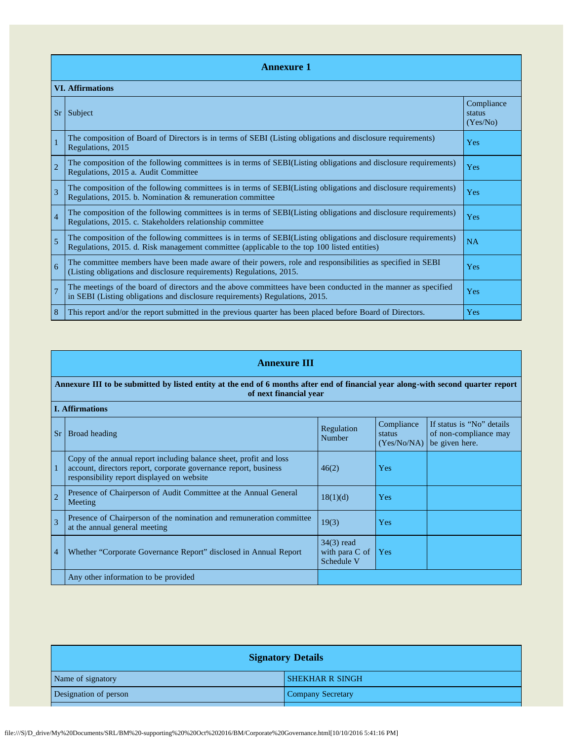|                | <b>Annexure 1</b>                                                                                                                                                                                               |                                  |  |  |  |
|----------------|-----------------------------------------------------------------------------------------------------------------------------------------------------------------------------------------------------------------|----------------------------------|--|--|--|
|                | <b>VI. Affirmations</b>                                                                                                                                                                                         |                                  |  |  |  |
| <b>Sr</b>      | Subject                                                                                                                                                                                                         | Compliance<br>status<br>(Yes/No) |  |  |  |
|                | The composition of Board of Directors is in terms of SEBI (Listing obligations and disclosure requirements)<br>Regulations, 2015                                                                                | <b>Yes</b>                       |  |  |  |
| $\overline{2}$ | The composition of the following committees is in terms of SEBI(Listing obligations and disclosure requirements)<br>Regulations, 2015 a. Audit Committee                                                        | Yes                              |  |  |  |
| 3              | The composition of the following committees is in terms of SEBI(Listing obligations and disclosure requirements)<br>Regulations, 2015. b. Nomination & remuneration committee                                   | Yes                              |  |  |  |
| $\overline{4}$ | The composition of the following committees is in terms of SEBI(Listing obligations and disclosure requirements)<br>Regulations, 2015. c. Stakeholders relationship committee                                   | Yes                              |  |  |  |
| 5              | The composition of the following committees is in terms of SEBI(Listing obligations and disclosure requirements)<br>Regulations, 2015. d. Risk management committee (applicable to the top 100 listed entities) | <b>NA</b>                        |  |  |  |
| 6              | The committee members have been made aware of their powers, role and responsibilities as specified in SEBI<br>(Listing obligations and disclosure requirements) Regulations, 2015.                              | Yes                              |  |  |  |
| $\overline{7}$ | The meetings of the board of directors and the above committees have been conducted in the manner as specified<br>in SEBI (Listing obligations and disclosure requirements) Regulations, 2015.                  | <b>Yes</b>                       |  |  |  |
| 8              | This report and/or the report submitted in the previous quarter has been placed before Board of Directors.                                                                                                      | Yes                              |  |  |  |

|                          | <b>Annexure III</b>                                                                                                                                                                  |                                                |                                     |                                                                      |  |
|--------------------------|--------------------------------------------------------------------------------------------------------------------------------------------------------------------------------------|------------------------------------------------|-------------------------------------|----------------------------------------------------------------------|--|
|                          | Annexure III to be submitted by listed entity at the end of 6 months after end of financial year along-with second quarter report<br>of next financial year                          |                                                |                                     |                                                                      |  |
|                          | <b>I. Affirmations</b>                                                                                                                                                               |                                                |                                     |                                                                      |  |
| <b>Sr</b>                | Broad heading                                                                                                                                                                        | Regulation<br>Number                           | Compliance<br>status<br>(Yes/No/NA) | If status is "No" details<br>of non-compliance may<br>be given here. |  |
|                          | Copy of the annual report including balance sheet, profit and loss<br>account, directors report, corporate governance report, business<br>responsibility report displayed on website | 46(2)                                          | Yes                                 |                                                                      |  |
| $\overline{2}$           | Presence of Chairperson of Audit Committee at the Annual General<br>Meeting                                                                                                          | 18(1)(d)                                       | Yes                                 |                                                                      |  |
| $\overline{\mathcal{E}}$ | Presence of Chairperson of the nomination and remuneration committee<br>at the annual general meeting                                                                                | 19(3)                                          | Yes                                 |                                                                      |  |
| $\overline{4}$           | Whether "Corporate Governance Report" disclosed in Annual Report                                                                                                                     | $34(3)$ read<br>with para $C$ of<br>Schedule V | Yes                                 |                                                                      |  |
|                          | Any other information to be provided                                                                                                                                                 |                                                |                                     |                                                                      |  |

| <b>Signatory Details</b> |  |  |
|--------------------------|--|--|
|                          |  |  |
|                          |  |  |
|                          |  |  |